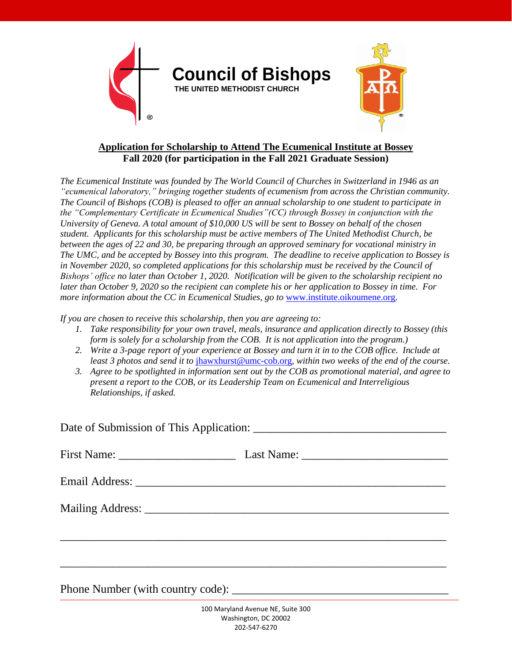

## **Application for Scholarship to Attend The Ecumenical Institute at Bossey Fall 2020 (for participation in the Fall 2021 Graduate Session)**

*The Ecumenical Institute was founded by The World Council of Churches in Switzerland in 1946 as an "ecumenical laboratory," bringing together students of ecumenism from across the Christian community. The Council of Bishops (COB) is pleased to offer an annual scholarship to one student to participate in the "Complementary Certificate in Ecumenical Studies"(CC) through Bossey in conjunction with the University of Geneva. A total amount of \$10,000 US will be sent to Bossey on behalf of the chosen student. Applicants for this scholarship must be active members of The United Methodist Church, be between the ages of 22 and 30, be preparing through an approved seminary for vocational ministry in The UMC, and be accepted by Bossey into this program. The deadline to receive application to Bossey is in November 2020, so completed applications for this scholarship must be received by the Council of Bishops' office no later than October 1, 2020. Notification will be given to the scholarship recipient no later than October 9, 2020 so the recipient can complete his or her application to Bossey in time. For more information about the CC in Ecumenical Studies, go to [www.institute.oikoumene.org](http://www.institute.oikoumene.org/).* 

*If you are chosen to receive this scholarship, then you are agreeing to:*

- *1. Take responsibility for your own travel, meals, insurance and application directly to Bossey (this form is solely for a scholarship from the COB. It is not application into the program.)*
- *2. Write a 3-page report of your experience at Bossey and turn it in to the COB office. Include at least 3 photos and send it to* [jhawxhurst@umc-cob.org](mailto:jhawxhurst@umc-cob.org)*, within two weeks of the end of the course.*
- *3. Agree to be spotlighted in information sent out by the COB as promotional material, and agree to present a report to the COB, or its Leadership Team on Ecumenical and Interreligious Relationships, if asked.*

| <u> 1989 - Johann Stoff, amerikansk politiker (* 1908)</u> |  |
|------------------------------------------------------------|--|
|                                                            |  |
| Phone Number (with country code):                          |  |